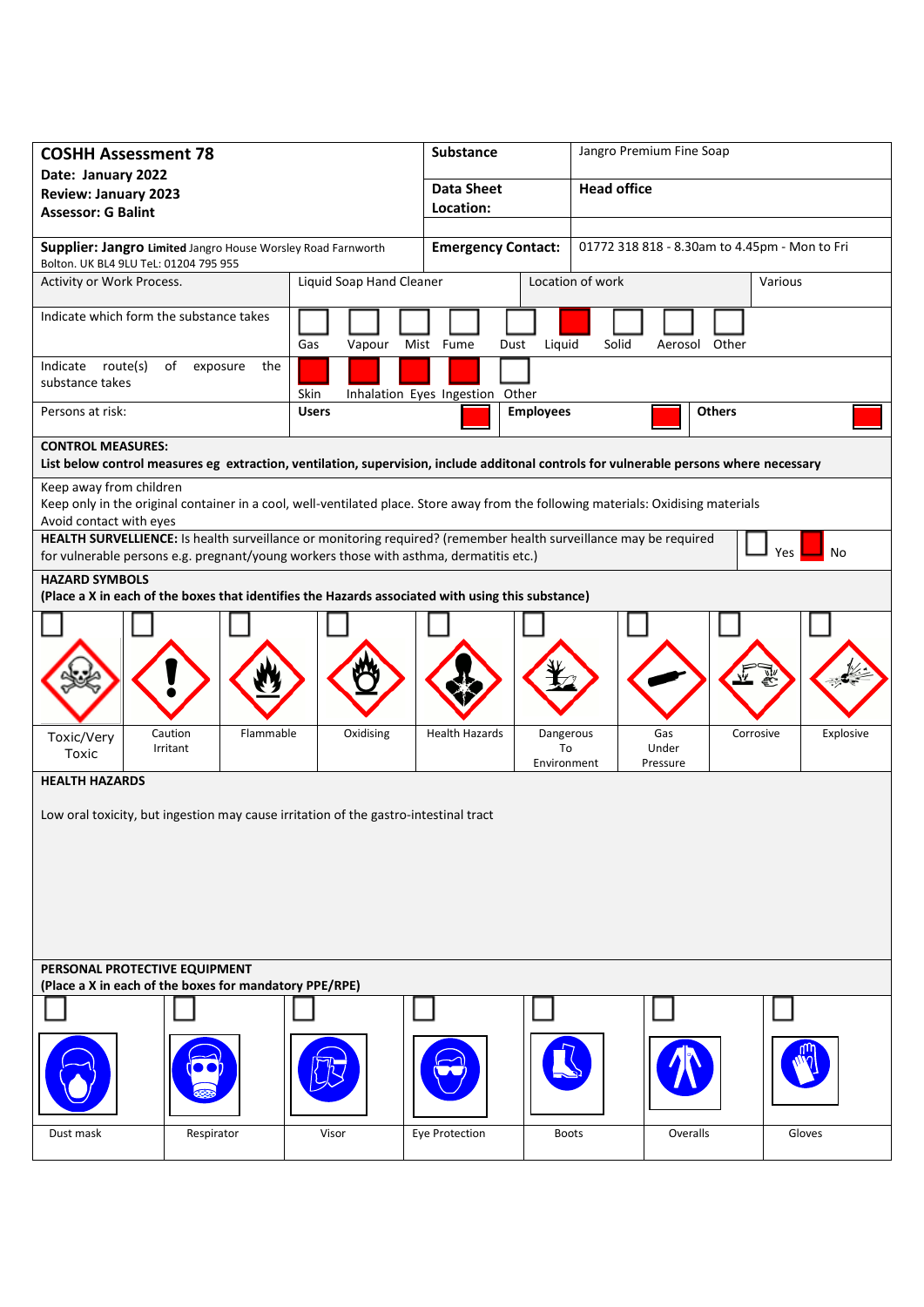| <b>COSHH Assessment 78</b>                                                                                                                                                                                               |                                         | Substance             |                                                                            | Jangro Premium Fine Soap |               |           |  |
|--------------------------------------------------------------------------------------------------------------------------------------------------------------------------------------------------------------------------|-----------------------------------------|-----------------------|----------------------------------------------------------------------------|--------------------------|---------------|-----------|--|
| Date: January 2022                                                                                                                                                                                                       |                                         | <b>Data Sheet</b>     |                                                                            | <b>Head office</b>       |               |           |  |
| <b>Review: January 2023</b><br><b>Assessor: G Balint</b>                                                                                                                                                                 |                                         | Location:             |                                                                            |                          |               |           |  |
|                                                                                                                                                                                                                          |                                         |                       |                                                                            |                          |               |           |  |
| Supplier: Jangro Limited Jangro House Worsley Road Farnworth<br>Bolton. UK BL4 9LU TeL: 01204 795 955                                                                                                                    |                                         |                       | 01772 318 818 - 8.30am to 4.45pm - Mon to Fri<br><b>Emergency Contact:</b> |                          |               |           |  |
| Activity or Work Process.                                                                                                                                                                                                | Liquid Soap Hand Cleaner                |                       | Location of work                                                           |                          |               | Various   |  |
| Indicate which form the substance takes<br>Gas<br>Vapour                                                                                                                                                                 |                                         | Mist Fume<br>Dust     | Liquid                                                                     | Solid                    | Aerosol Other |           |  |
| Indicate route(s)<br>of exposure<br>the<br>substance takes                                                                                                                                                               | Skin<br>Inhalation Eyes Ingestion Other |                       |                                                                            |                          |               |           |  |
| Persons at risk:<br><b>Users</b>                                                                                                                                                                                         |                                         |                       | <b>Employees</b>                                                           |                          | <b>Others</b> |           |  |
| <b>CONTROL MEASURES:</b>                                                                                                                                                                                                 |                                         |                       |                                                                            |                          |               |           |  |
| List below control measures eg extraction, ventilation, supervision, include additonal controls for vulnerable persons where necessary                                                                                   |                                         |                       |                                                                            |                          |               |           |  |
| Keep away from children                                                                                                                                                                                                  |                                         |                       |                                                                            |                          |               |           |  |
| Keep only in the original container in a cool, well-ventilated place. Store away from the following materials: Oxidising materials<br>Avoid contact with eyes                                                            |                                         |                       |                                                                            |                          |               |           |  |
| HEALTH SURVELLIENCE: Is health surveillance or monitoring required? (remember health surveillance may be required<br>Yes<br>No<br>for vulnerable persons e.g. pregnant/young workers those with asthma, dermatitis etc.) |                                         |                       |                                                                            |                          |               |           |  |
| <b>HAZARD SYMBOLS</b>                                                                                                                                                                                                    |                                         |                       |                                                                            |                          |               |           |  |
| (Place a X in each of the boxes that identifies the Hazards associated with using this substance)                                                                                                                        |                                         |                       |                                                                            |                          |               |           |  |
|                                                                                                                                                                                                                          |                                         |                       |                                                                            |                          |               |           |  |
| Caution<br>Flammable<br>Toxic/Very<br>Irritant                                                                                                                                                                           | Oxidising                               | <b>Health Hazards</b> | Dangerous<br>To                                                            | Gas<br>Under             | Corrosive     | Explosive |  |
| Toxic                                                                                                                                                                                                                    |                                         |                       | Environment                                                                | Pressure                 |               |           |  |
| <b>HEALTH HAZARDS</b>                                                                                                                                                                                                    |                                         |                       |                                                                            |                          |               |           |  |
| Low oral toxicity, but ingestion may cause irritation of the gastro-intestinal tract                                                                                                                                     |                                         |                       |                                                                            |                          |               |           |  |
| PERSONAL PROTECTIVE EQUIPMENT                                                                                                                                                                                            |                                         |                       |                                                                            |                          |               |           |  |
| (Place a X in each of the boxes for mandatory PPE/RPE)                                                                                                                                                                   |                                         |                       |                                                                            |                          |               |           |  |
|                                                                                                                                                                                                                          |                                         |                       |                                                                            |                          |               |           |  |
| Dust mask<br>Respirator                                                                                                                                                                                                  | Visor                                   | Eye Protection        | <b>Boots</b>                                                               |                          | Overalls      | Gloves    |  |